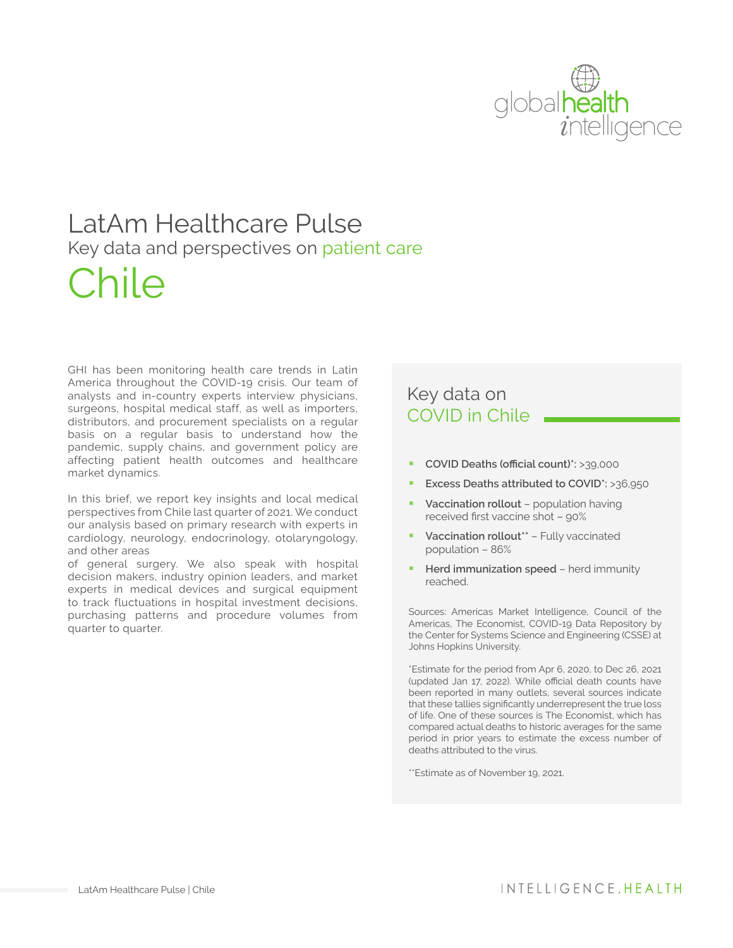

# LatAm Healthcare Pulse Key data and perspectives on patient care Chile

GHI has been monitoring health care trends in Latin America throughout the COVID-19 crisis. Our team of analysts and in-country experts interview physicians, surgeons, hospital medical staff, as well as importers, distributors, and procurement specialists on a regular basis on a regular basis to understand how the pandemic, supply chains, and government policy are affecting patient health outcomes and healthcare market dynamics.

In this brief, we report key insights and local medical perspectives from Chile last quarter of 2021. We conduct our analysis based on primary research with experts in cardiology, neurology, endocrinology, otolaryngology, and other areas

of general surgery. We also speak with hospital decision makers, industry opinion leaders, and market experts in medical devices and surgical equipment to track fluctuations in hospital investment decisions, purchasing patterns and procedure volumes from quarter to quarter.

#### Key data on COVID in Chile

- § **COVID Deaths (official count)\*:** >39,000
- § **Excess Deaths attributed to COVID\*:** >36,950
- § **Vaccination rollout** population having received first vaccine shot – 90%
- § **Vaccination rollout\*\*** Fully vaccinated population – 86%
- **Herd immunization speed herd immunity** reached.

Sources: Americas Market Intelligence, Council of the Americas, The Economist, COVID-19 Data Repository by the Center for Systems Science and Engineering (CSSE) at Johns Hopkins University.

\*Estimate for the period from Apr 6, 2020, to Dec 26, 2021 (updated Jan 17, 2022). While official death counts have been reported in many outlets, several sources indicate that these tallies significantly underrepresent the true loss of life. One of these sources is The Economist, which has compared actual deaths to historic averages for the same period in prior years to estimate the excess number of deaths attributed to the virus.

\*\*Estimate as of November 19, 2021.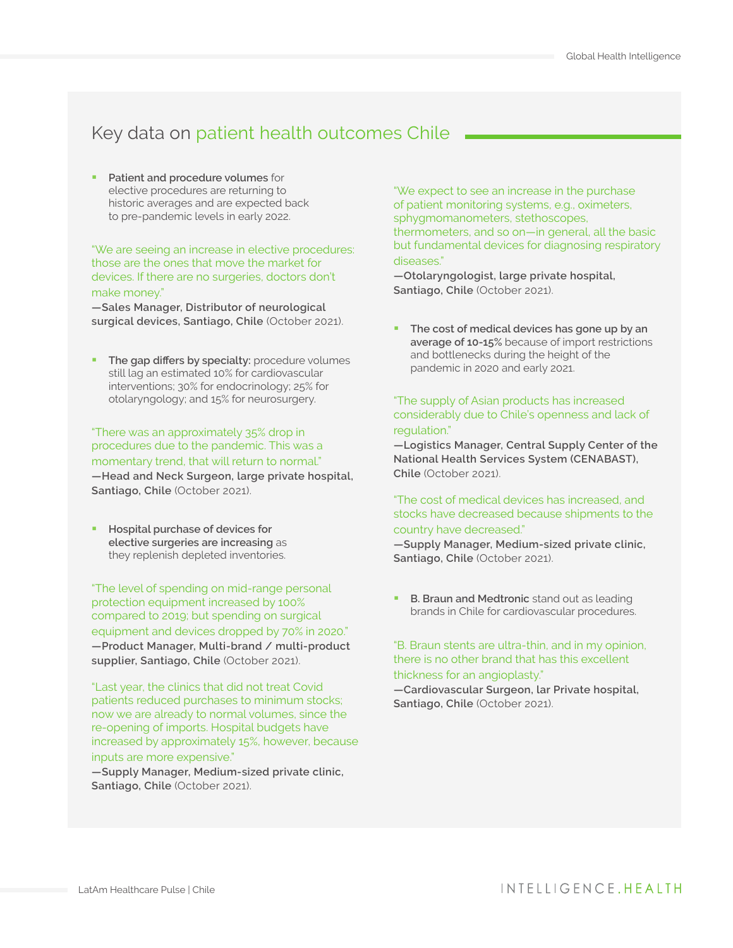### Key data on patient health outcomes Chile

§ **Patient and procedure volumes** for elective procedures are returning to historic averages and are expected back to pre-pandemic levels in early 2022.

"We are seeing an increase in elective procedures: those are the ones that move the market for devices. If there are no surgeries, doctors don't make money."

**—Sales Manager, Distributor of neurological surgical devices, Santiago, Chile** (October 2021).

**The gap differs by specialty:** procedure volumes still lag an estimated 10% for cardiovascular interventions; 30% for endocrinology; 25% for otolaryngology; and 15% for neurosurgery.

"There was an approximately 35% drop in procedures due to the pandemic. This was a momentary trend, that will return to normal." **—Head and Neck Surgeon, large private hospital, Santiago, Chile** (October 2021).

§ **Hospital purchase of devices for elective surgeries are increasing** as they replenish depleted inventories.

"The level of spending on mid-range personal protection equipment increased by 100% compared to 2019; but spending on surgical equipment and devices dropped by 70% in 2020." **—Product Manager, Multi-brand / multi-product supplier, Santiago, Chile** (October 2021).

"Last year, the clinics that did not treat Covid patients reduced purchases to minimum stocks; now we are already to normal volumes, since the re-opening of imports. Hospital budgets have increased by approximately 15%, however, because inputs are more expensive."

**—Supply Manager, Medium-sized private clinic, Santiago, Chile** (October 2021).

"We expect to see an increase in the purchase of patient monitoring systems, e.g., oximeters, sphygmomanometers, stethoscopes, thermometers, and so on—in general, all the basic but fundamental devices for diagnosing respiratory diseases."

**—Otolaryngologist, large private hospital, Santiago, Chile** (October 2021).

§ **The cost of medical devices has gone up by an average of 10-15%** because of import restrictions and bottlenecks during the height of the pandemic in 2020 and early 2021.

"The supply of Asian products has increased considerably due to Chile's openness and lack of regulation."

**—Logistics Manager, Central Supply Center of the National Health Services System (CENABAST), Chile** (October 2021).

#### "The cost of medical devices has increased, and stocks have decreased because shipments to the country have decreased."

**—Supply Manager, Medium-sized private clinic, Santiago, Chile** (October 2021).

**B. Braun and Medtronic** stand out as leading brands in Chile for cardiovascular procedures.

"B. Braun stents are ultra-thin, and in my opinion, there is no other brand that has this excellent thickness for an angioplasty."

**—Cardiovascular Surgeon, lar Private hospital, Santiago, Chile** (October 2021).